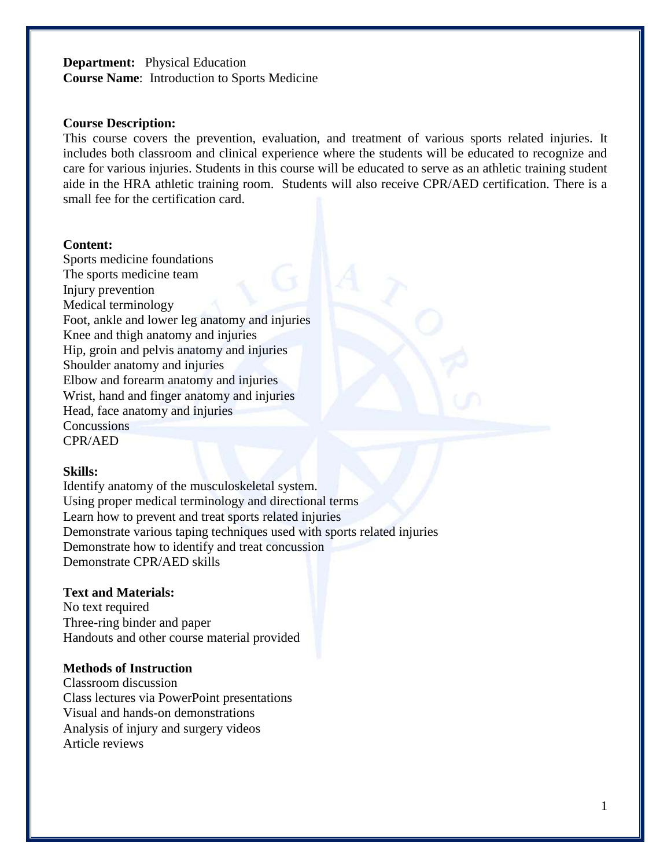# **Department:** Physical Education **Course Name**: Introduction to Sports Medicine

#### **Course Description:**

This course covers the prevention, evaluation, and treatment of various sports related injuries. It includes both classroom and clinical experience where the students will be educated to recognize and care for various injuries. Students in this course will be educated to serve as an athletic training student aide in the HRA athletic training room. Students will also receive CPR/AED certification. There is a small fee for the certification card.

#### **Content:**

Sports medicine foundations The sports medicine team Injury prevention Medical terminology Foot, ankle and lower leg anatomy and injuries Knee and thigh anatomy and injuries Hip, groin and pelvis anatomy and injuries Shoulder anatomy and injuries Elbow and forearm anatomy and injuries Wrist, hand and finger anatomy and injuries Head, face anatomy and injuries **Concussions** CPR/AED

## **Skills:**

Identify anatomy of the musculoskeletal system. Using proper medical terminology and directional terms Learn how to prevent and treat sports related injuries Demonstrate various taping techniques used with sports related injuries Demonstrate how to identify and treat concussion Demonstrate CPR/AED skills

## **Text and Materials:**

No text required Three-ring binder and paper Handouts and other course material provided

#### **Methods of Instruction**

Classroom discussion Class lectures via PowerPoint presentations Visual and hands-on demonstrations Analysis of injury and surgery videos Article reviews